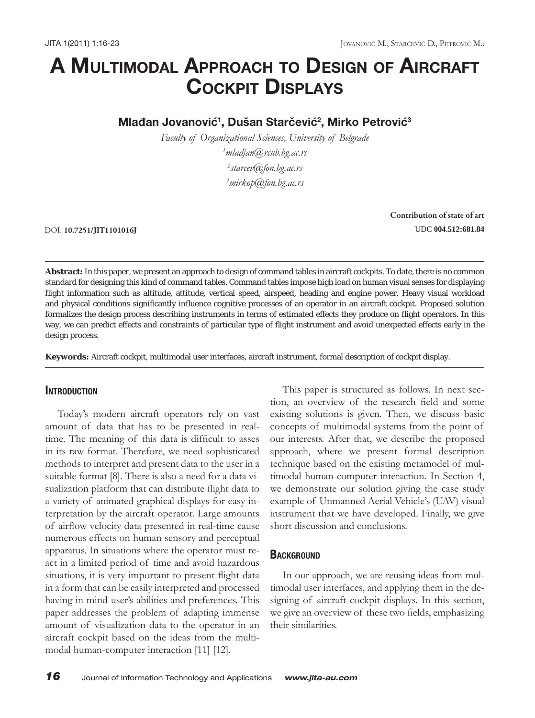# **A MULTIMODAL APPROACH TO DESIGN OF AIRCRAFT COCKPIT DISPLAYS**

# Mlađan Jovanović<sup>1</sup>, Dušan Starčević<sup>2</sup>, Mirko Petrović<sup>3</sup>

*Faculty of Organizational Sciences, University of Belgrade mladjan@rcub.bg.ac.rs starcev@fon.bg.ac.rs mirkop@fon.bg.ac.rs*

DOI: **10.7251/JIT1101016J**

**Contribution of state of art** UDC **004.512:681.84**

**Abstract:** In this paper, we present an approach to design of command tables in aircraft cockpits. To date, there is no common standard for designing this kind of command tables. Command tables impose high load on human visual senses for displaying flight information such as altitude, attitude, vertical speed, airspeed, heading and engine power. Heavy visual workload and physical conditions significantly influence cognitive processes of an operator in an aircraft cockpit. Proposed solution formalizes the design process describing instruments in terms of estimated effects they produce on flight operators. In this way, we can predict effects and constraints of particular type of flight instrument and avoid unexpected effects early in the design process.

**Keywords:** Aircraft cockpit, multimodal user interfaces, aircraft instrument, formal description of cockpit display.

#### **INTRODUCTION**

Today's modern aircraft operators rely on vast amount of data that has to be presented in realtime. The meaning of this data is difficult to asses in its raw format. Therefore, we need sophisticated methods to interpret and present data to the user in a suitable format [8]. There is also a need for a data visualization platform that can distribute flight data to a variety of animated graphical displays for easy interpretation by the aircraft operator. Large amounts of airflow velocity data presented in real-time cause numerous effects on human sensory and perceptual apparatus. In situations where the operator must react in a limited period of time and avoid hazardous situations, it is very important to present flight data in a form that can be easily interpreted and processed having in mind user's abilities and preferences. This paper addresses the problem of adapting immense amount of visualization data to the operator in an aircraft cockpit based on the ideas from the multimodal human-computer interaction [11] [12].

This paper is structured as follows. In next section, an overview of the research field and some existing solutions is given. Then, we discuss basic concepts of multimodal systems from the point of our interests. After that, we describe the proposed approach, where we present formal description technique based on the existing metamodel of multimodal human-computer interaction. In Section 4, we demonstrate our solution giving the case study example of Unmanned Aerial Vehicle's (UAV) visual instrument that we have developed. Finally, we give short discussion and conclusions.

#### **BACKGROUND**

In our approach, we are reusing ideas from multimodal user interfaces, and applying them in the designing of aircraft cockpit displays. In this section, we give an overview of these two fields, emphasizing their similarities.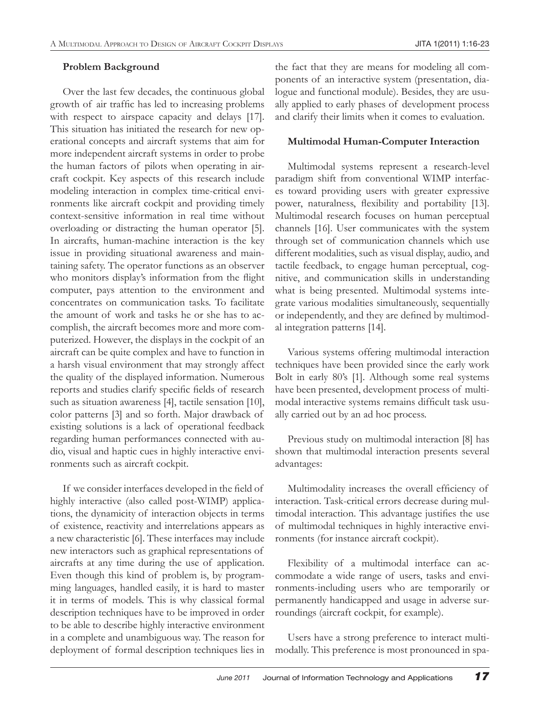#### **Problem Background**

Over the last few decades, the continuous global growth of air traffic has led to increasing problems with respect to airspace capacity and delays [17]. This situation has initiated the research for new operational concepts and aircraft systems that aim for more independent aircraft systems in order to probe the human factors of pilots when operating in aircraft cockpit. Key aspects of this research include modeling interaction in complex time-critical environments like aircraft cockpit and providing timely context-sensitive information in real time without overloading or distracting the human operator [5]. In aircrafts, human-machine interaction is the key issue in providing situational awareness and maintaining safety. The operator functions as an observer who monitors display's information from the flight computer, pays attention to the environment and concentrates on communication tasks. To facilitate the amount of work and tasks he or she has to accomplish, the aircraft becomes more and more computerized. However, the displays in the cockpit of an aircraft can be quite complex and have to function in a harsh visual environment that may strongly affect the quality of the displayed information. Numerous reports and studies clarify specific fields of research such as situation awareness [4], tactile sensation [10], color patterns [3] and so forth. Major drawback of existing solutions is a lack of operational feedback regarding human performances connected with audio, visual and haptic cues in highly interactive environments such as aircraft cockpit.

If we consider interfaces developed in the field of highly interactive (also called post-WIMP) applications, the dynamicity of interaction objects in terms of existence, reactivity and interrelations appears as a new characteristic [6]. These interfaces may include new interactors such as graphical representations of aircrafts at any time during the use of application. Even though this kind of problem is, by programming languages, handled easily, it is hard to master it in terms of models. This is why classical formal description techniques have to be improved in order to be able to describe highly interactive environment in a complete and unambiguous way. The reason for deployment of formal description techniques lies in the fact that they are means for modeling all components of an interactive system (presentation, dialogue and functional module). Besides, they are usually applied to early phases of development process and clarify their limits when it comes to evaluation.

#### **Multimodal Human-Computer Interaction**

Multimodal systems represent a research-level paradigm shift from conventional WIMP interfaces toward providing users with greater expressive power, naturalness, flexibility and portability [13]. Multimodal research focuses on human perceptual channels [16]. User communicates with the system through set of communication channels which use different modalities, such as visual display, audio, and tactile feedback, to engage human perceptual, cognitive, and communication skills in understanding what is being presented. Multimodal systems integrate various modalities simultaneously, sequentially or independently, and they are defined by multimodal integration patterns [14].

Various systems offering multimodal interaction techniques have been provided since the early work Bolt in early 80's [1]. Although some real systems have been presented, development process of multimodal interactive systems remains difficult task usually carried out by an ad hoc process.

Previous study on multimodal interaction [8] has shown that multimodal interaction presents several advantages:

Multimodality increases the overall efficiency of interaction. Task-critical errors decrease during multimodal interaction. This advantage justifies the use of multimodal techniques in highly interactive environments (for instance aircraft cockpit).

Flexibility of a multimodal interface can accommodate a wide range of users, tasks and environments-including users who are temporarily or permanently handicapped and usage in adverse surroundings (aircraft cockpit, for example).

Users have a strong preference to interact multimodally. This preference is most pronounced in spa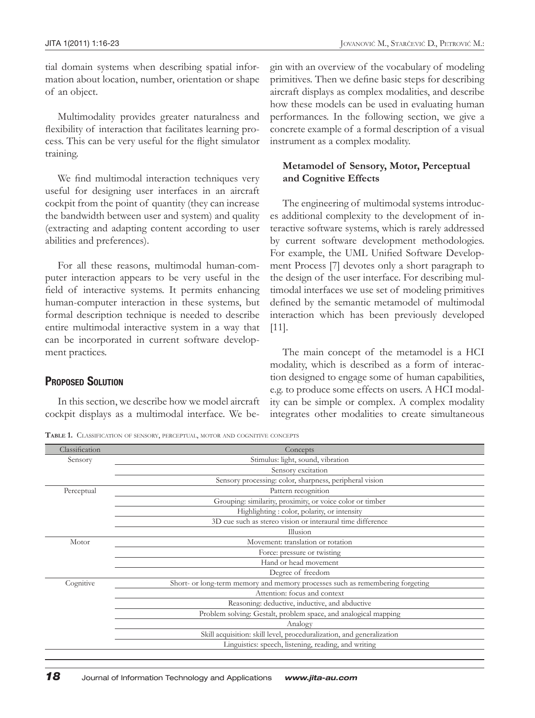tial domain systems when describing spatial information about location, number, orientation or shape of an object.

Multimodality provides greater naturalness and flexibility of interaction that facilitates learning process. This can be very useful for the flight simulator training.

We find multimodal interaction techniques very useful for designing user interfaces in an aircraft cockpit from the point of quantity (they can increase the bandwidth between user and system) and quality (extracting and adapting content according to user abilities and preferences).

For all these reasons, multimodal human-computer interaction appears to be very useful in the field of interactive systems. It permits enhancing human-computer interaction in these systems, but formal description technique is needed to describe entire multimodal interactive system in a way that can be incorporated in current software development practices.

gin with an overview of the vocabulary of modeling primitives. Then we define basic steps for describing aircraft displays as complex modalities, and describe how these models can be used in evaluating human performances. In the following section, we give a concrete example of a formal description of a visual instrument as a complex modality.

### **Metamodel of Sensory, Motor, Perceptual and Cognitive Effects**

The engineering of multimodal systems introduces additional complexity to the development of interactive software systems, which is rarely addressed by current software development methodologies. For example, the UML Unified Software Development Process [7] devotes only a short paragraph to the design of the user interface. For describing multimodal interfaces we use set of modeling primitives defined by the semantic metamodel of multimodal interaction which has been previously developed [11].

The main concept of the metamodel is a HCI modality, which is described as a form of interaction designed to engage some of human capabilities, e.g. to produce some effects on users. A HCI modality can be simple or complex. A complex modality integrates other modalities to create simultaneous

#### **PROPOSED SOLUTION**

In this section, we describe how we model aircraft cockpit displays as a multimodal interface. We be-

**TABLE 1.** CLASSIFICATION OF SENSORY, PERCEPTUAL, MOTOR AND COGNITIVE CONCEPTS

| Classification | Concepts                                                                      |
|----------------|-------------------------------------------------------------------------------|
| Sensory        | Stimulus: light, sound, vibration                                             |
|                | Sensory excitation                                                            |
|                | Sensory processing: color, sharpness, peripheral vision                       |
| Perceptual     | Pattern recognition                                                           |
|                | Grouping: similarity, proximity, or voice color or timber                     |
|                | Highlighting : color, polarity, or intensity                                  |
|                | 3D cue such as stereo vision or interaural time difference                    |
|                | Illusion                                                                      |
| Motor          | Movement: translation or rotation                                             |
|                | Force: pressure or twisting                                                   |
|                | Hand or head movement                                                         |
|                | Degree of freedom                                                             |
| Cognitive      | Short- or long-term memory and memory processes such as remembering forgeting |
|                | Attention: focus and context                                                  |
|                | Reasoning: deductive, inductive, and abductive                                |
|                | Problem solving: Gestalt, problem space, and analogical mapping               |
|                | Analogy                                                                       |
|                | Skill acquisition: skill level, proceduralization, and generalization         |
|                | Linguistics: speech, listening, reading, and writing                          |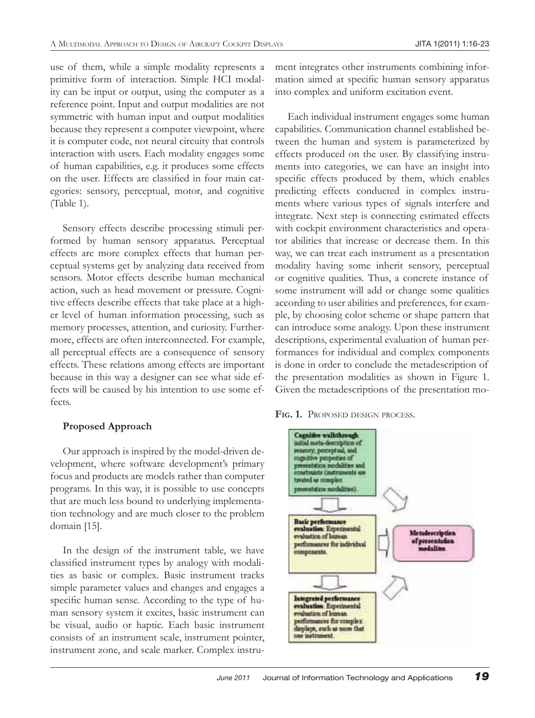use of them, while a simple modality represents a primitive form of interaction. Simple HCI modality can be input or output, using the computer as a reference point. Input and output modalities are not symmetric with human input and output modalities because they represent a computer viewpoint, where it is computer code, not neural circuity that controls interaction with users. Each modality engages some of human capabilities, e.g. it produces some effects on the user. Effects are classified in four main categories: sensory, perceptual, motor, and cognitive (Table 1).

Sensory effects describe processing stimuli performed by human sensory apparatus. Perceptual effects are more complex effects that human perceptual systems get by analyzing data received from sensors. Motor effects describe human mechanical action, such as head movement or pressure. Cognitive effects describe effects that take place at a higher level of human information processing, such as memory processes, attention, and curiosity. Furthermore, effects are often interconnected. For example, all perceptual effects are a consequence of sensory effects. These relations among effects are important because in this way a designer can see what side effects will be caused by his intention to use some effects.

#### **Proposed Approach**

Our approach is inspired by the model-driven development, where software development's primary focus and products are models rather than computer programs. In this way, it is possible to use concepts that are much less bound to underlying implementation technology and are much closer to the problem domain [15].

In the design of the instrument table, we have classified instrument types by analogy with modalities as basic or complex. Basic instrument tracks simple parameter values and changes and engages a specific human sense. According to the type of human sensory system it excites, basic instrument can be visual, audio or haptic. Each basic instrument consists of an instrument scale, instrument pointer, instrument zone, and scale marker. Complex instrument integrates other instruments combining information aimed at specific human sensory apparatus into complex and uniform excitation event.

Each individual instrument engages some human capabilities. Communication channel established between the human and system is parameterized by effects produced on the user. By classifying instruments into categories, we can have an insight into specific effects produced by them, which enables predicting effects conducted in complex instruments where various types of signals interfere and integrate. Next step is connecting estimated effects with cockpit environment characteristics and operator abilities that increase or decrease them. In this way, we can treat each instrument as a presentation modality having some inherit sensory, perceptual or cognitive qualities. Thus, a concrete instance of some instrument will add or change some qualities according to user abilities and preferences, for example, by choosing color scheme or shape pattern that can introduce some analogy. Upon these instrument descriptions, experimental evaluation of human performances for individual and complex components is done in order to conclude the metadescription of the presentation modalities as shown in Figure 1. Given the metadescriptions of the presentation mo-

FIG. 1. PROPOSED DESIGN PROCESS.

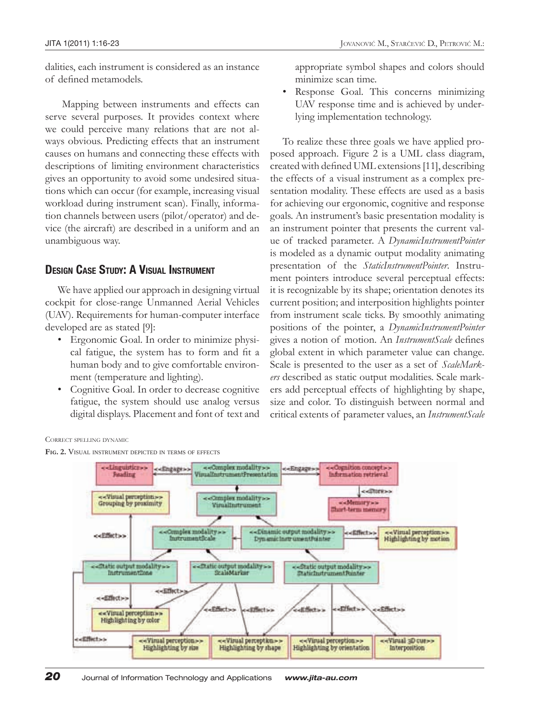dalities, each instrument is considered as an instance of defined metamodels.

 Mapping between instruments and effects can serve several purposes. It provides context where we could perceive many relations that are not always obvious. Predicting effects that an instrument causes on humans and connecting these effects with descriptions of limiting environment characteristics gives an opportunity to avoid some undesired situations which can occur (for example, increasing visual workload during instrument scan). Finally, information channels between users (pilot/operator) and device (the aircraft) are described in a uniform and an unambiguous way.

## **DESIGN CASE STUDY: A VISUAL INSTRUMENT**

We have applied our approach in designing virtual cockpit for close-range Unmanned Aerial Vehicles (UAV). Requirements for human-computer interface developed are as stated [9]:

- Ergonomic Goal. In order to minimize physical fatigue, the system has to form and fit a human body and to give comfortable environment (temperature and lighting).
- Cognitive Goal. In order to decrease cognitive fatigue, the system should use analog versus digital displays. Placement and font of text and

appropriate symbol shapes and colors should minimize scan time.

• Response Goal. This concerns minimizing UAV response time and is achieved by underlying implementation technology.

To realize these three goals we have applied proposed approach. Figure 2 is a UML class diagram, created with defined UML extensions [11], describing the effects of a visual instrument as a complex presentation modality. These effects are used as a basis for achieving our ergonomic, cognitive and response goals. An instrument's basic presentation modality is an instrument pointer that presents the current value of tracked parameter. A *DynamicInstrumentPointer*  is modeled as a dynamic output modality animating presentation of the *StaticInstrumentPointer*. Instrument pointers introduce several perceptual effects: it is recognizable by its shape; orientation denotes its current position; and interposition highlights pointer from instrument scale ticks. By smoothly animating positions of the pointer, a *DynamicInstrumentPointer* gives a notion of motion. An *InstrumentScale* defines global extent in which parameter value can change. Scale is presented to the user as a set of *ScaleMarkers* described as static output modalities. Scale markers add perceptual effects of highlighting by shape, size and color. To distinguish between normal and critical extents of parameter values, an *InstrumentScale*

CORRECT SPELLING DYNAMIC

**FIG. 2.** VISUAL INSTRUMENT DEPICTED IN TERMS OF EFFECTS

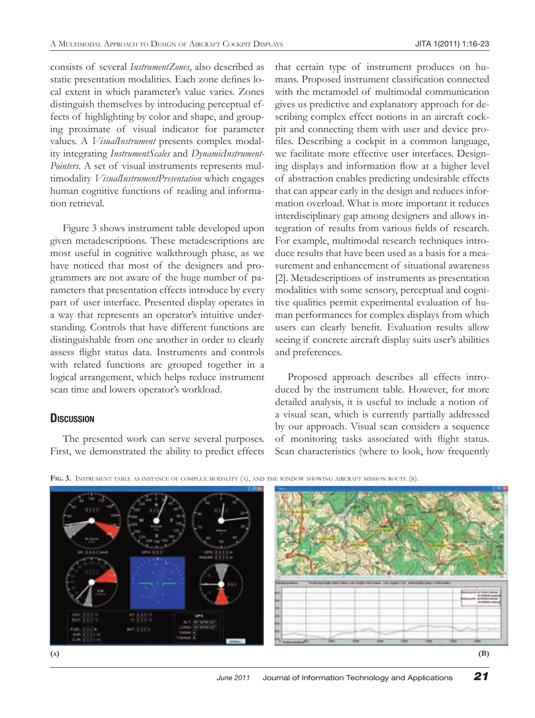consists of several *InstrumentZones*, also described as static presentation modalities. Each zone defines local extent in which parameter's value varies. Zones distinguish themselves by introducing perceptual effects of highlighting by color and shape, and grouping proximate of visual indicator for parameter values. A *VisualInstrument* presents complex modality integrating *InstrumentScales* and *DynamicInstrument-Pointers*. A set of visual instruments represents multimodality *VisualInstrumentPresentation* which engages human cognitive functions of reading and information retrieval.

Figure 3 shows instrument table developed upon given metadescriptions. These metadescriptions are most useful in cognitive walkthrough phase, as we have noticed that most of the designers and programmers are not aware of the huge number of parameters that presentation effects introduce by every part of user interface. Presented display operates in a way that represents an operator's intuitive understanding. Controls that have different functions are distinguishable from one another in order to clearly assess flight status data. Instruments and controls with related functions are grouped together in a logical arrangement, which helps reduce instrument scan time and lowers operator's workload.

#### **DISCUSSION**

The presented work can serve several purposes. First, we demonstrated the ability to predict effects

that certain type of instrument produces on humans. Proposed instrument classification connected with the metamodel of multimodal communication gives us predictive and explanatory approach for describing complex effect notions in an aircraft cockpit and connecting them with user and device profiles. Describing a cockpit in a common language, we facilitate more effective user interfaces. Designing displays and information flow at a higher level of abstraction enables predicting undesirable effects that can appear early in the design and reduces information overload. What is more important it reduces interdisciplinary gap among designers and allows integration of results from various fields of research. For example, multimodal research techniques introduce results that have been used as a basis for a measurement and enhancement of situational awareness [2]. Metadescriptions of instruments as presentation modalities with some sensory, perceptual and cognitive qualities permit experimental evaluation of human performances for complex displays from which users can clearly benefit. Evaluation results allow seeing if concrete aircraft display suits user's abilities and preferences.

Proposed approach describes all effects introduced by the instrument table. However, for more detailed analysis, it is useful to include a notion of a visual scan, which is currently partially addressed by our approach. Visual scan considers a sequence of monitoring tasks associated with flight status. Scan characteristics (where to look, how frequently



**FIG. 3.** INSTRUMENT TABLE AS INSTANCE OF COMPLEX MODALITY (A), AND THE WINDOW SHOWING AIRCRAFT MISSION ROUTE (B).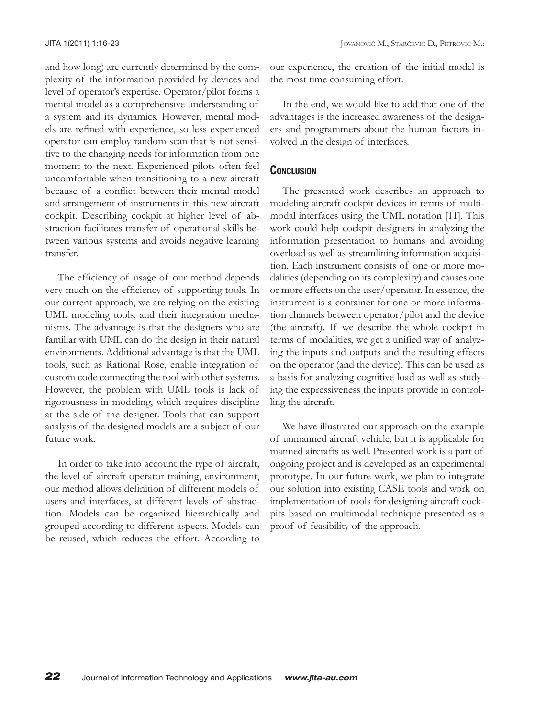and how long) are currently determined by the complexity of the information provided by devices and level of operator's expertise. Operator/pilot forms a mental model as a comprehensive understanding of a system and its dynamics. However, mental models are refined with experience, so less experienced operator can employ random scan that is not sensitive to the changing needs for information from one moment to the next. Experienced pilots often feel uncomfortable when transitioning to a new aircraft because of a conflict between their mental model and arrangement of instruments in this new aircraft cockpit. Describing cockpit at higher level of abstraction facilitates transfer of operational skills between various systems and avoids negative learning transfer.

The efficiency of usage of our method depends very much on the efficiency of supporting tools. In our current approach, we are relying on the existing UML modeling tools, and their integration mechanisms. The advantage is that the designers who are familiar with UML can do the design in their natural environments. Additional advantage is that the UML tools, such as Rational Rose, enable integration of custom code connecting the tool with other systems. However, the problem with UML tools is lack of rigorousness in modeling, which requires discipline at the side of the designer. Tools that can support analysis of the designed models are a subject of our future work.

In order to take into account the type of aircraft, the level of aircraft operator training, environment, our method allows definition of different models of users and interfaces, at different levels of abstraction. Models can be organized hierarchically and grouped according to different aspects. Models can be reused, which reduces the effort. According to our experience, the creation of the initial model is the most time consuming effort.

In the end, we would like to add that one of the advantages is the increased awareness of the designers and programmers about the human factors involved in the design of interfaces.

#### **CONCLUSION**

The presented work describes an approach to modeling aircraft cockpit devices in terms of multimodal interfaces using the UML notation [11]. This work could help cockpit designers in analyzing the information presentation to humans and avoiding overload as well as streamlining information acquisition. Each instrument consists of one or more modalities (depending on its complexity) and causes one or more effects on the user/operator. In essence, the instrument is a container for one or more information channels between operator/pilot and the device (the aircraft). If we describe the whole cockpit in terms of modalities, we get a unified way of analyzing the inputs and outputs and the resulting effects on the operator (and the device). This can be used as a basis for analyzing cognitive load as well as studying the expressiveness the inputs provide in controlling the aircraft.

We have illustrated our approach on the example of unmanned aircraft vehicle, but it is applicable for manned aircrafts as well. Presented work is a part of ongoing project and is developed as an experimental prototype. In our future work, we plan to integrate our solution into existing CASE tools and work on implementation of tools for designing aircraft cockpits based on multimodal technique presented as a proof of feasibility of the approach.